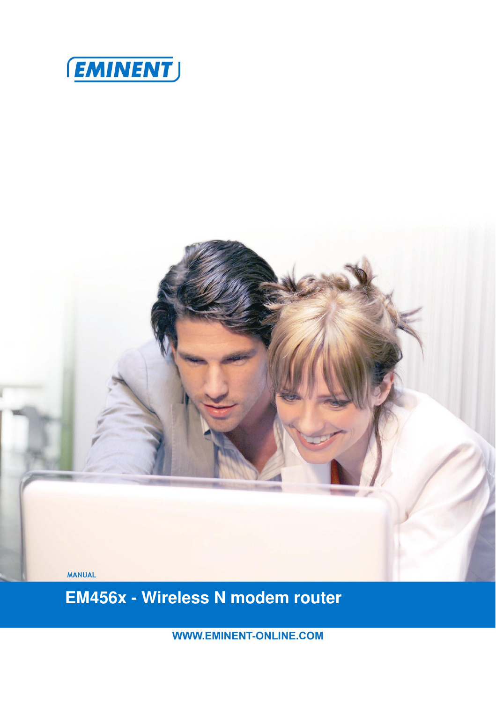



 **EM456x - Wireless N modem router** 

**WWW.EMINENT-ONLINE.COM**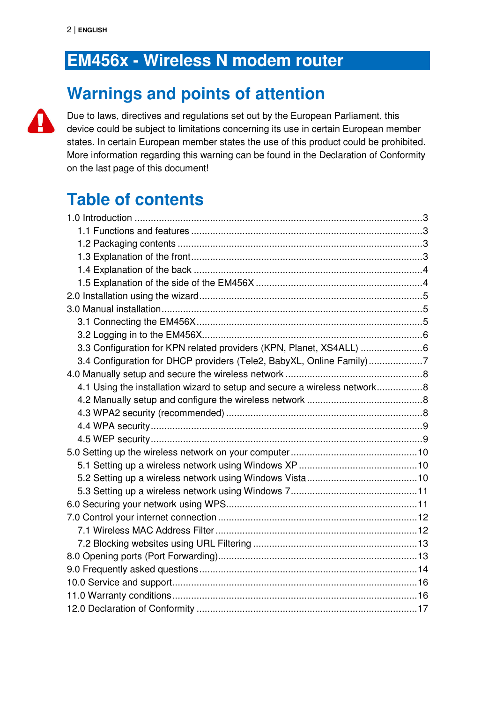## **EM456x - Wireless N modem router**

## **Warnings and points of attention**



Due to laws, directives and regulations set out by the European Parliament, this device could be subject to limitations concerning its use in certain European member states. In certain European member states the use of this product could be prohibited. More information regarding this warning can be found in the Declaration of Conformity on the last page of this document!

# **Table of contents**

| 3.3 Configuration for KPN related providers (KPN, Planet, XS4ALL)         |  |
|---------------------------------------------------------------------------|--|
| 3.4 Configuration for DHCP providers (Tele2, BabyXL, Online Family)7      |  |
|                                                                           |  |
| 4.1 Using the installation wizard to setup and secure a wireless network8 |  |
|                                                                           |  |
|                                                                           |  |
|                                                                           |  |
|                                                                           |  |
|                                                                           |  |
|                                                                           |  |
|                                                                           |  |
|                                                                           |  |
|                                                                           |  |
|                                                                           |  |
|                                                                           |  |
|                                                                           |  |
|                                                                           |  |
|                                                                           |  |
|                                                                           |  |
|                                                                           |  |
|                                                                           |  |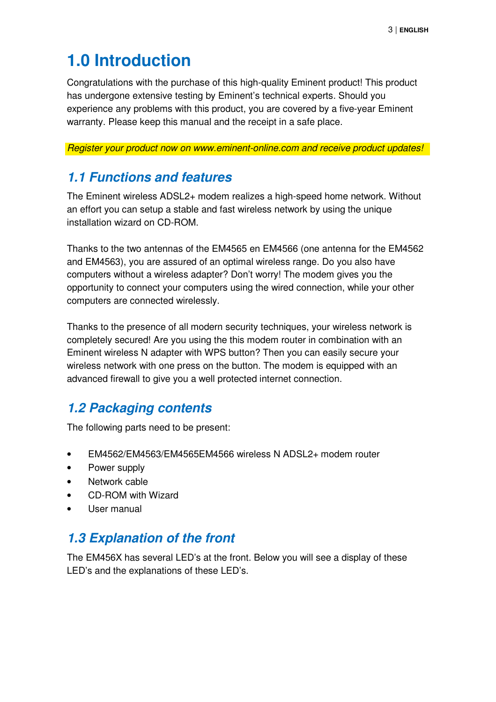# **1.0 Introduction**

Congratulations with the purchase of this high-quality Eminent product! This product has undergone extensive testing by Eminent's technical experts. Should you experience any problems with this product, you are covered by a five-year Eminent warranty. Please keep this manual and the receipt in a safe place.

Register your product now on www.eminent-online.com and receive product updates!

#### **1.1 Functions and features**

The Eminent wireless ADSL2+ modem realizes a high-speed home network. Without an effort you can setup a stable and fast wireless network by using the unique installation wizard on CD-ROM.

Thanks to the two antennas of the EM4565 en EM4566 (one antenna for the EM4562 and EM4563), you are assured of an optimal wireless range. Do you also have computers without a wireless adapter? Don't worry! The modem gives you the opportunity to connect your computers using the wired connection, while your other computers are connected wirelessly.

Thanks to the presence of all modern security techniques, your wireless network is completely secured! Are you using the this modem router in combination with an Eminent wireless N adapter with WPS button? Then you can easily secure your wireless network with one press on the button. The modem is equipped with an advanced firewall to give you a well protected internet connection.

### **1.2 Packaging contents**

The following parts need to be present:

- EM4562/EM4563/EM4565EM4566 wireless N ADSL2+ modem router
- Power supply
- Network cable
- CD-ROM with Wizard
- User manual

#### **1.3 Explanation of the front**

The EM456X has several LED's at the front. Below you will see a display of these LED's and the explanations of these LED's.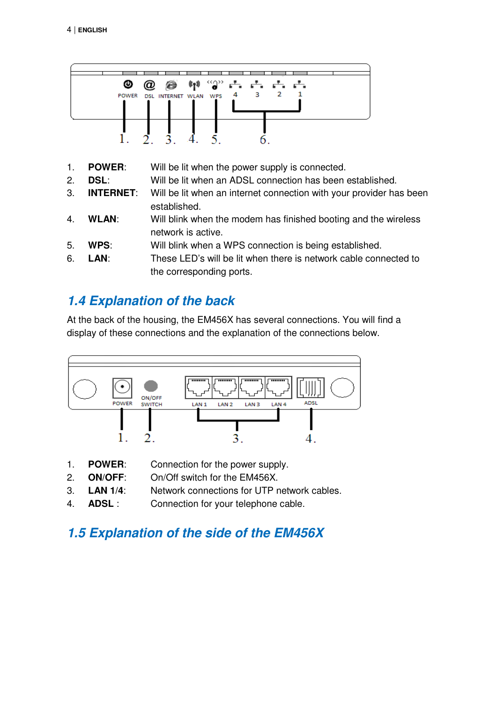

- 1. **POWER**: Will be lit when the power supply is connected.
- 2. **DSL**: Will be lit when an ADSL connection has been established.
- 3. **INTERNET**: Will be lit when an internet connection with your provider has been established.
- 4. **WLAN**: Will blink when the modem has finished booting and the wireless network is active.
- 5. **WPS**: Will blink when a WPS connection is being established.
- 6. **LAN**: These LED's will be lit when there is network cable connected to the corresponding ports.

### **1.4 Explanation of the back**

At the back of the housing, the EM456X has several connections. You will find a display of these connections and the explanation of the connections below.



- 1. **POWER**: Connection for the power supply.
- 2. **ON/OFF**: On/Off switch for the EM456X.
- 3. **LAN 1/4**: Network connections for UTP network cables.
- 4. **ADSL** : Connection for your telephone cable.

### **1.5 Explanation of the side of the EM456X**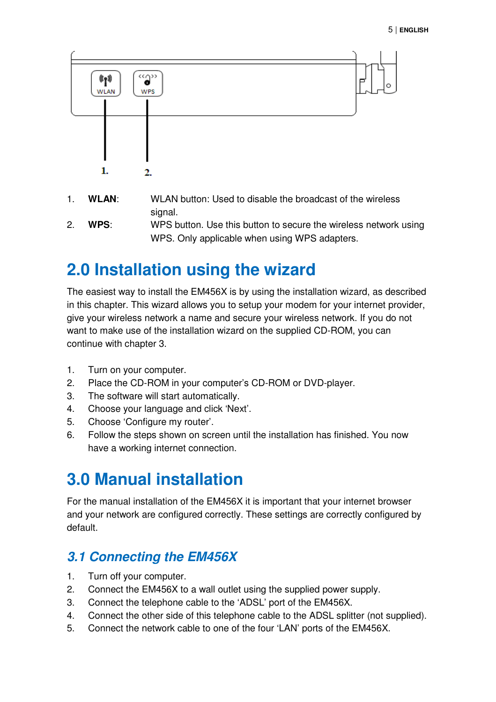

- 1. **WLAN**: WLAN button: Used to disable the broadcast of the wireless signal.
- 2. **WPS**: WPS button. Use this button to secure the wireless network using WPS. Only applicable when using WPS adapters.

## **2.0 Installation using the wizard**

The easiest way to install the EM456X is by using the installation wizard, as described in this chapter. This wizard allows you to setup your modem for your internet provider, give your wireless network a name and secure your wireless network. If you do not want to make use of the installation wizard on the supplied CD-ROM, you can continue with chapter 3.

- 1. Turn on your computer.
- 2. Place the CD-ROM in your computer's CD-ROM or DVD-player.
- 3. The software will start automatically.
- 4. Choose your language and click 'Next'.
- 5. Choose 'Configure my router'.
- 6. Follow the steps shown on screen until the installation has finished. You now have a working internet connection.

## **3.0 Manual installation**

For the manual installation of the EM456X it is important that your internet browser and your network are configured correctly. These settings are correctly configured by default.

### **3.1 Connecting the EM456X**

- 1. Turn off your computer.
- 2. Connect the EM456X to a wall outlet using the supplied power supply.
- 3. Connect the telephone cable to the 'ADSL' port of the EM456X.
- 4. Connect the other side of this telephone cable to the ADSL splitter (not supplied).
- 5. Connect the network cable to one of the four 'LAN' ports of the EM456X.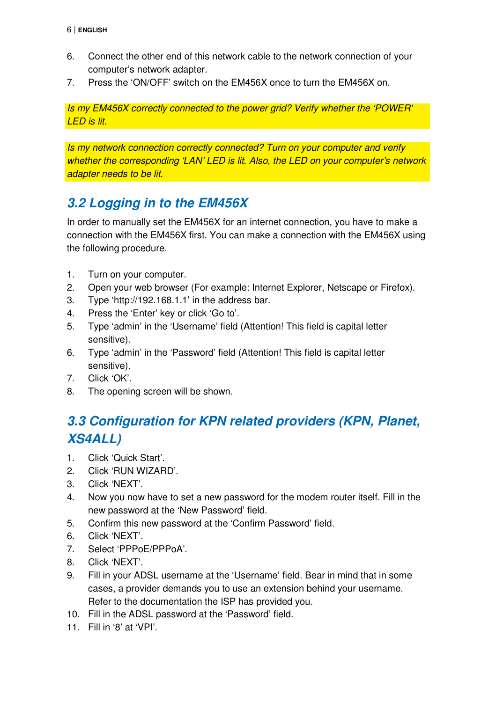- 6. Connect the other end of this network cable to the network connection of your computer's network adapter.
- 7. Press the 'ON/OFF' switch on the EM456X once to turn the EM456X on.

Is my EM456X correctly connected to the power grid? Verify whether the 'POWER' LED is lit.

Is my network connection correctly connected? Turn on your computer and verify whether the corresponding 'LAN' LED is lit. Also, the LED on your computer's network adapter needs to be lit.

### **3.2 Logging in to the EM456X**

In order to manually set the EM456X for an internet connection, you have to make a connection with the EM456X first. You can make a connection with the EM456X using the following procedure.

- 1. Turn on your computer.
- 2. Open your web browser (For example: Internet Explorer, Netscape or Firefox).
- 3. Type 'http://192.168.1.1' in the address bar.
- 4. Press the 'Enter' key or click 'Go to'.
- 5. Type 'admin' in the 'Username' field (Attention! This field is capital letter sensitive).
- 6. Type 'admin' in the 'Password' field (Attention! This field is capital letter sensitive).
- 7. Click 'OK'.
- 8. The opening screen will be shown.

### **3.3 Configuration for KPN related providers (KPN, Planet, XS4ALL)**

- 1. Click 'Quick Start'.
- 2. Click 'RUN WIZARD'.
- 3. Click 'NEXT'.
- 4. Now you now have to set a new password for the modem router itself. Fill in the new password at the 'New Password' field.
- 5. Confirm this new password at the 'Confirm Password' field.
- 6. Click 'NEXT'.
- 7. Select 'PPPoE/PPPoA'.
- 8. Click 'NEXT'.
- 9. Fill in your ADSL username at the 'Username' field. Bear in mind that in some cases, a provider demands you to use an extension behind your username. Refer to the documentation the ISP has provided you.
- 10. Fill in the ADSL password at the 'Password' field.
- 11. Fill in '8' at 'VPI'.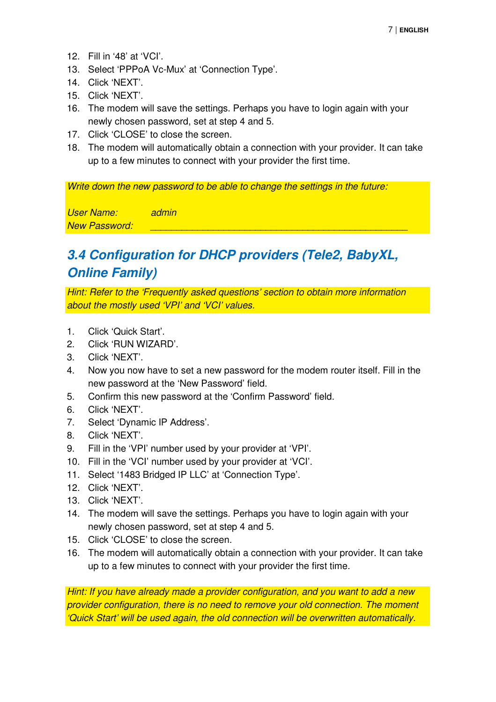- 12. Fill in '48' at 'VCI'.
- 13. Select 'PPPoA Vc-Mux' at 'Connection Type'.
- 14. Click 'NEXT'.
- 15. Click 'NEXT'.
- 16. The modem will save the settings. Perhaps you have to login again with your newly chosen password, set at step 4 and 5.
- 17. Click 'CLOSE' to close the screen.
- 18. The modem will automatically obtain a connection with your provider. It can take up to a few minutes to connect with your provider the first time.

Write down the new password to be able to change the settings in the future:

User Name: admin New Password:

### **3.4 Configuration for DHCP providers (Tele2, BabyXL, Online Family)**

Hint: Refer to the 'Frequently asked questions' section to obtain more information about the mostly used 'VPI' and 'VCI' values.

- 1. Click 'Quick Start'.
- 2. Click 'RUN WIZARD'.
- 3. Click 'NEXT'.
- 4. Now you now have to set a new password for the modem router itself. Fill in the new password at the 'New Password' field.
- 5. Confirm this new password at the 'Confirm Password' field.
- 6. Click 'NEXT'.
- 7. Select 'Dynamic IP Address'.
- 8. Click 'NEXT'.
- 9. Fill in the 'VPI' number used by your provider at 'VPI'.
- 10. Fill in the 'VCI' number used by your provider at 'VCI'.
- 11. Select '1483 Bridged IP LLC' at 'Connection Type'.
- 12. Click 'NEXT'.
- 13. Click 'NEXT'.
- 14. The modem will save the settings. Perhaps you have to login again with your newly chosen password, set at step 4 and 5.
- 15. Click 'CLOSE' to close the screen.
- 16. The modem will automatically obtain a connection with your provider. It can take up to a few minutes to connect with your provider the first time.

Hint: If you have already made a provider configuration, and you want to add a new provider configuration, there is no need to remove your old connection. The moment 'Quick Start' will be used again, the old connection will be overwritten automatically.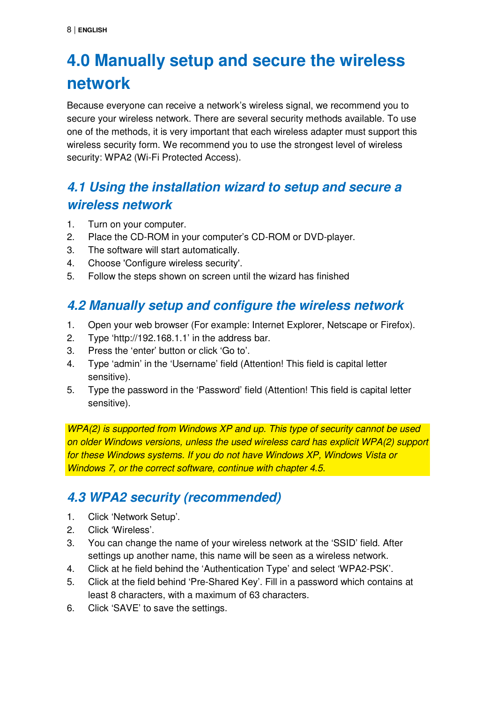# **4.0 Manually setup and secure the wireless network**

Because everyone can receive a network's wireless signal, we recommend you to secure your wireless network. There are several security methods available. To use one of the methods, it is very important that each wireless adapter must support this wireless security form. We recommend you to use the strongest level of wireless security: WPA2 (Wi-Fi Protected Access).

### **4.1 Using the installation wizard to setup and secure a wireless network**

- 1. Turn on your computer.
- 2. Place the CD-ROM in your computer's CD-ROM or DVD-player.
- 3. The software will start automatically.
- 4. Choose 'Configure wireless security'.
- 5. Follow the steps shown on screen until the wizard has finished

### **4.2 Manually setup and configure the wireless network**

- 1. Open your web browser (For example: Internet Explorer, Netscape or Firefox).
- 2. Type 'http://192.168.1.1' in the address bar.
- 3. Press the 'enter' button or click 'Go to'.
- 4. Type 'admin' in the 'Username' field (Attention! This field is capital letter sensitive).
- 5. Type the password in the 'Password' field (Attention! This field is capital letter sensitive).

WPA(2) is supported from Windows XP and up. This type of security cannot be used on older Windows versions, unless the used wireless card has explicit WPA(2) support for these Windows systems. If you do not have Windows XP, Windows Vista or Windows 7, or the correct software, continue with chapter 4.5.

### **4.3 WPA2 security (recommended)**

- 1. Click 'Network Setup'.
- 2. Click 'Wireless'.
- 3. You can change the name of your wireless network at the 'SSID' field. After settings up another name, this name will be seen as a wireless network.
- 4. Click at he field behind the 'Authentication Type' and select 'WPA2-PSK'.
- 5. Click at the field behind 'Pre-Shared Key'. Fill in a password which contains at least 8 characters, with a maximum of 63 characters.
- 6. Click 'SAVE' to save the settings.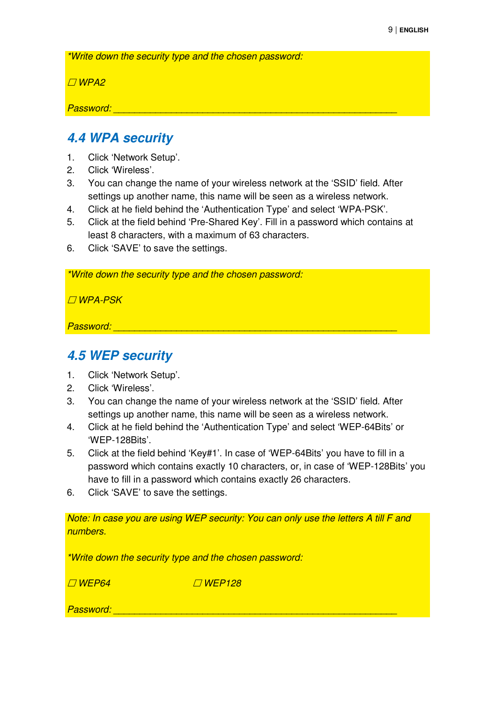\*Write down the security type and the chosen password:

 $\Box$ WPA2

Password:

#### **4.4 WPA security**

- 1. Click 'Network Setup'.
- 2. Click 'Wireless'.
- 3. You can change the name of your wireless network at the 'SSID' field. After settings up another name, this name will be seen as a wireless network.
- 4. Click at he field behind the 'Authentication Type' and select 'WPA-PSK'.
- 5. Click at the field behind 'Pre-Shared Key'. Fill in a password which contains at least 8 characters, with a maximum of 63 characters.
- 6. Click 'SAVE' to save the settings.

\*Write down the security type and the chosen password:

WPA-PSK

Password: \_\_\_\_\_\_\_\_\_\_\_\_\_\_\_\_\_\_\_\_\_\_\_\_\_\_\_\_\_\_\_\_\_\_\_\_\_\_\_\_\_\_\_\_\_\_\_\_\_\_\_\_\_\_

#### **4.5 WEP security**

- 1. Click 'Network Setup'.
- 2. Click 'Wireless'.
- 3. You can change the name of your wireless network at the 'SSID' field. After settings up another name, this name will be seen as a wireless network.
- 4. Click at he field behind the 'Authentication Type' and select 'WEP-64Bits' or 'WEP-128Bits'.
- 5. Click at the field behind 'Key#1'. In case of 'WEP-64Bits' you have to fill in a password which contains exactly 10 characters, or, in case of 'WEP-128Bits' you have to fill in a password which contains exactly 26 characters.
- 6. Click 'SAVE' to save the settings.

Note: In case you are using WEP security: You can only use the letters A till F and numbers.

\*Write down the security type and the chosen password:

 $\n *WFP64*$   $\n *WFP128*$ 

Password: \_\_\_\_\_\_\_\_\_\_\_\_\_\_\_\_\_\_\_\_\_\_\_\_\_\_\_\_\_\_\_\_\_\_\_\_\_\_\_\_\_\_\_\_\_\_\_\_\_\_\_\_\_\_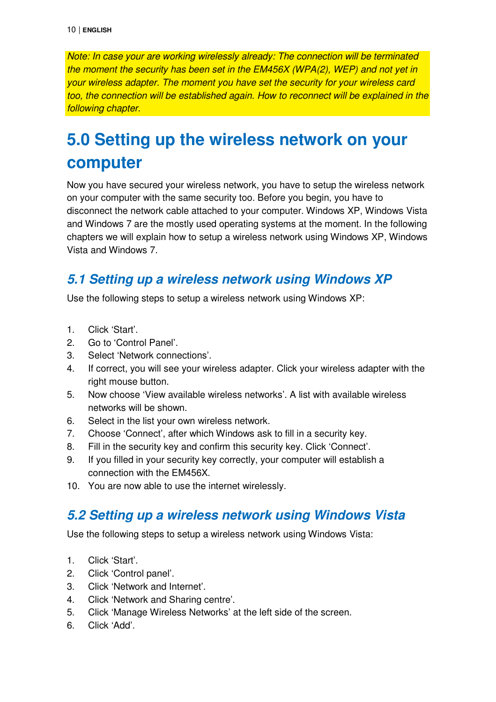Note: In case your are working wirelessly already: The connection will be terminated the moment the security has been set in the EM456X (WPA(2), WEP) and not yet in your wireless adapter. The moment you have set the security for your wireless card too, the connection will be established again. How to reconnect will be explained in the following chapter.

## **5.0 Setting up the wireless network on your computer**

Now you have secured your wireless network, you have to setup the wireless network on your computer with the same security too. Before you begin, you have to disconnect the network cable attached to your computer. Windows XP, Windows Vista and Windows 7 are the mostly used operating systems at the moment. In the following chapters we will explain how to setup a wireless network using Windows XP, Windows Vista and Windows 7.

#### **5.1 Setting up a wireless network using Windows XP**

Use the following steps to setup a wireless network using Windows XP:

- 1. Click 'Start'.
- 2. Go to 'Control Panel'.
- 3. Select 'Network connections'.
- 4. If correct, you will see your wireless adapter. Click your wireless adapter with the right mouse button.
- 5. Now choose 'View available wireless networks'. A list with available wireless networks will be shown.
- 6. Select in the list your own wireless network.
- 7. Choose 'Connect', after which Windows ask to fill in a security key.
- 8. Fill in the security key and confirm this security key. Click 'Connect'.
- 9. If you filled in your security key correctly, your computer will establish a connection with the EM456X.
- 10. You are now able to use the internet wirelessly.

#### **5.2 Setting up a wireless network using Windows Vista**

Use the following steps to setup a wireless network using Windows Vista:

- 1. Click 'Start'.
- 2. Click 'Control panel'.
- 3. Click 'Network and Internet'.
- 4. Click 'Network and Sharing centre'.
- 5. Click 'Manage Wireless Networks' at the left side of the screen.
- 6. Click 'Add'.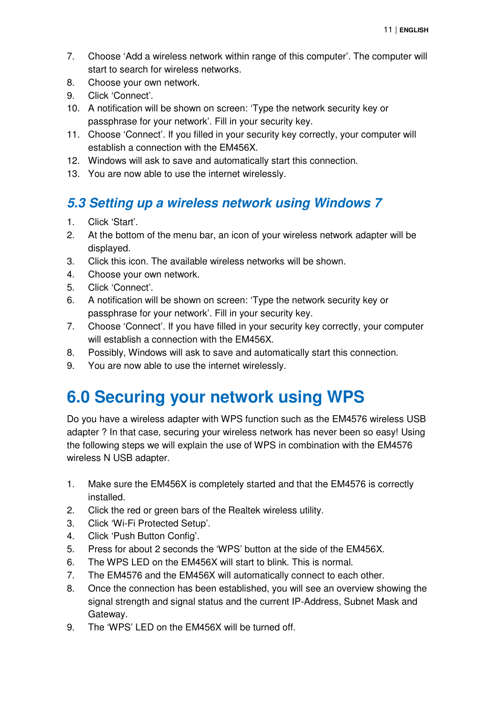- 7. Choose 'Add a wireless network within range of this computer'. The computer will start to search for wireless networks.
- 8. Choose your own network.
- 9. Click 'Connect'.
- 10. A notification will be shown on screen: 'Type the network security key or passphrase for your network'. Fill in your security key.
- 11. Choose 'Connect'. If you filled in your security key correctly, your computer will establish a connection with the EM456X.
- 12. Windows will ask to save and automatically start this connection.
- 13. You are now able to use the internet wirelessly.

#### **5.3 Setting up a wireless network using Windows 7**

- 1. Click 'Start'.
- 2. At the bottom of the menu bar, an icon of your wireless network adapter will be displayed.
- 3. Click this icon. The available wireless networks will be shown.
- 4. Choose your own network.
- 5. Click 'Connect'.
- 6. A notification will be shown on screen: 'Type the network security key or passphrase for your network'. Fill in your security key.
- 7. Choose 'Connect'. If you have filled in your security key correctly, your computer will establish a connection with the EM456X.
- 8. Possibly, Windows will ask to save and automatically start this connection.
- 9. You are now able to use the internet wirelessly.

## **6.0 Securing your network using WPS**

Do you have a wireless adapter with WPS function such as the EM4576 wireless USB adapter ? In that case, securing your wireless network has never been so easy! Using the following steps we will explain the use of WPS in combination with the EM4576 wireless N USB adapter.

- 1. Make sure the EM456X is completely started and that the EM4576 is correctly installed.
- 2. Click the red or green bars of the Realtek wireless utility.
- 3. Click 'Wi-Fi Protected Setup'.
- 4. Click 'Push Button Config'.
- 5. Press for about 2 seconds the 'WPS' button at the side of the EM456X.
- 6. The WPS LED on the EM456X will start to blink. This is normal.
- 7. The EM4576 and the EM456X will automatically connect to each other.
- 8. Once the connection has been established, you will see an overview showing the signal strength and signal status and the current IP-Address, Subnet Mask and Gateway.
- 9. The 'WPS' LED on the EM456X will be turned off.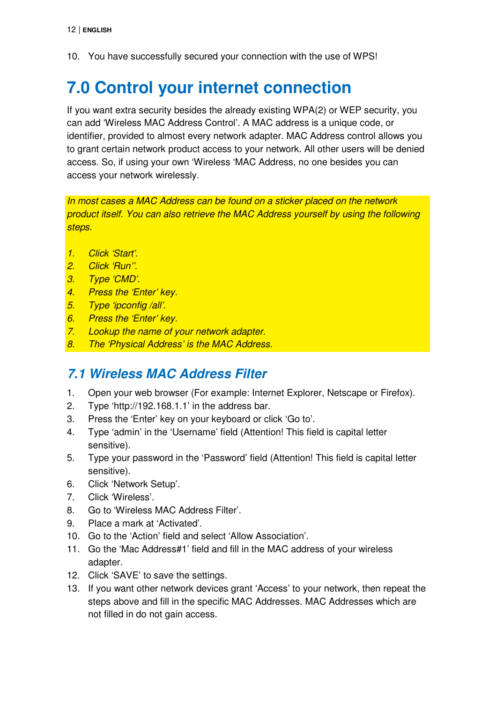10. You have successfully secured your connection with the use of WPS!

## **7.0 Control your internet connection**

If you want extra security besides the already existing WPA(2) or WEP security, you can add 'Wireless MAC Address Control'. A MAC address is a unique code, or identifier, provided to almost every network adapter. MAC Address control allows you to grant certain network product access to your network. All other users will be denied access. So, if using your own 'Wireless 'MAC Address, no one besides you can access your network wirelessly.

In most cases a MAC Address can be found on a sticker placed on the network product itself. You can also retrieve the MAC Address yourself by using the following steps.

- 1. Click 'Start'.
- 2. Click 'Run''.
- 3. Type 'CMD'.
- 4. Press the 'Enter' key.
- 5. Type 'ipconfig /all'.
- 6. Press the 'Enter' key.
- 7. Lookup the name of your network adapter.
- 8. The 'Physical Address' is the MAC Address.

#### **7.1 Wireless MAC Address Filter**

- 1. Open your web browser (For example: Internet Explorer, Netscape or Firefox).
- 2. Type 'http://192.168.1.1' in the address bar.
- 3. Press the 'Enter' key on your keyboard or click 'Go to'.
- 4. Type 'admin' in the 'Username' field (Attention! This field is capital letter sensitive).
- 5. Type your password in the 'Password' field (Attention! This field is capital letter sensitive).
- 6. Click 'Network Setup'.
- 7. Click 'Wireless'.
- 8. Go to 'Wireless MAC Address Filter'.
- 9. Place a mark at 'Activated'.
- 10. Go to the 'Action' field and select 'Allow Association'.
- 11. Go the 'Mac Address#1' field and fill in the MAC address of your wireless adapter.
- 12. Click 'SAVE' to save the settings.
- 13. If you want other network devices grant 'Access' to your network, then repeat the steps above and fill in the specific MAC Addresses. MAC Addresses which are not filled in do not gain access.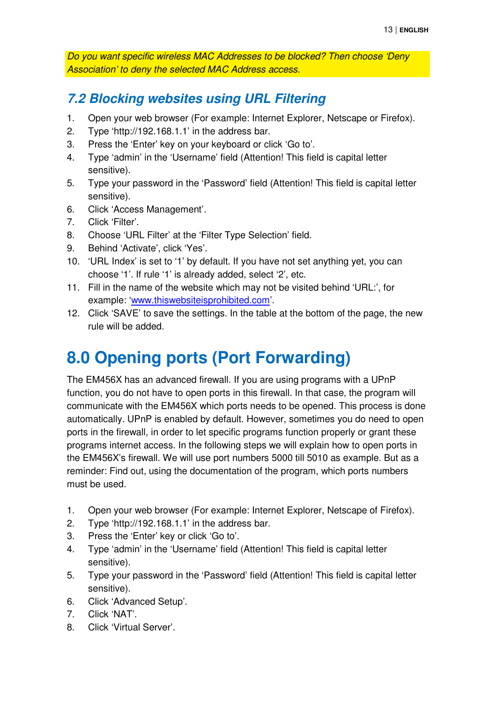Do you want specific wireless MAC Addresses to be blocked? Then choose 'Deny Association' to deny the selected MAC Address access.

#### **7.2 Blocking websites using URL Filtering**

- 1. Open your web browser (For example: Internet Explorer, Netscape or Firefox).
- 2. Type 'http://192.168.1.1' in the address bar.
- 3. Press the 'Enter' key on your keyboard or click 'Go to'.
- 4. Type 'admin' in the 'Username' field (Attention! This field is capital letter sensitive).
- 5. Type your password in the 'Password' field (Attention! This field is capital letter sensitive).
- 6. Click 'Access Management'.
- 7. Click 'Filter'.
- 8. Choose 'URL Filter' at the 'Filter Type Selection' field.
- 9. Behind 'Activate', click 'Yes'.
- 10. 'URL Index' is set to '1' by default. If you have not set anything yet, you can choose '1'. If rule '1' is already added, select '2', etc.
- 11. Fill in the name of the website which may not be visited behind 'URL:', for example: 'www.thiswebsiteisprohibited.com'.
- 12. Click 'SAVE' to save the settings. In the table at the bottom of the page, the new rule will be added.

## **8.0 Opening ports (Port Forwarding)**

The EM456X has an advanced firewall. If you are using programs with a UPnP function, you do not have to open ports in this firewall. In that case, the program will communicate with the EM456X which ports needs to be opened. This process is done automatically. UPnP is enabled by default. However, sometimes you do need to open ports in the firewall, in order to let specific programs function properly or grant these programs internet access. In the following steps we will explain how to open ports in the EM456X's firewall. We will use port numbers 5000 till 5010 as example. But as a reminder: Find out, using the documentation of the program, which ports numbers must be used.

- 1. Open your web browser (For example: Internet Explorer, Netscape of Firefox).
- 2. Type 'http://192.168.1.1' in the address bar.
- 3. Press the 'Enter' key or click 'Go to'.
- 4. Type 'admin' in the 'Username' field (Attention! This field is capital letter sensitive).
- 5. Type your password in the 'Password' field (Attention! This field is capital letter sensitive).
- 6. Click 'Advanced Setup'.
- 7. Click 'NAT'.
- 8. Click 'Virtual Server'.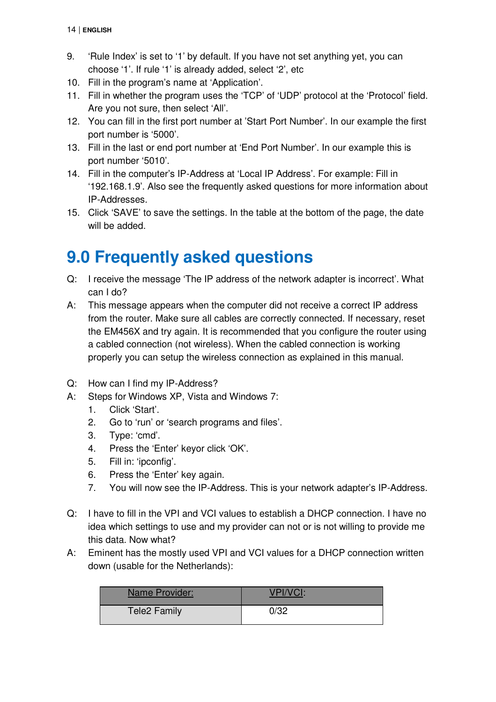- 9. 'Rule Index' is set to '1' by default. If you have not set anything yet, you can choose '1'. If rule '1' is already added, select '2', etc
- 10. Fill in the program's name at 'Application'.
- 11. Fill in whether the program uses the 'TCP' of 'UDP' protocol at the 'Protocol' field. Are you not sure, then select 'All'.
- 12. You can fill in the first port number at 'Start Port Number'. In our example the first port number is '5000'.
- 13. Fill in the last or end port number at 'End Port Number'. In our example this is port number '5010'.
- 14. Fill in the computer's IP-Address at 'Local IP Address'. For example: Fill in '192.168.1.9'. Also see the frequently asked questions for more information about IP-Addresses.
- 15. Click 'SAVE' to save the settings. In the table at the bottom of the page, the date will be added.

## **9.0 Frequently asked questions**

- Q: I receive the message 'The IP address of the network adapter is incorrect'. What can I do?
- A: This message appears when the computer did not receive a correct IP address from the router. Make sure all cables are correctly connected. If necessary, reset the EM456X and try again. It is recommended that you configure the router using a cabled connection (not wireless). When the cabled connection is working properly you can setup the wireless connection as explained in this manual.
- Q: How can I find my IP-Address?
- A: Steps for Windows XP, Vista and Windows 7:
	- 1. Click 'Start'.
	- 2. Go to 'run' or 'search programs and files'.
	- 3. Type: 'cmd'.
	- 4. Press the 'Enter' keyor click 'OK'.
	- 5. Fill in: 'ipconfig'.
	- 6. Press the 'Enter' key again.
	- 7. You will now see the IP-Address. This is your network adapter's IP-Address.
- Q: I have to fill in the VPI and VCI values to establish a DHCP connection. I have no idea which settings to use and my provider can not or is not willing to provide me this data. Now what?
- A: Eminent has the mostly used VPI and VCI values for a DHCP connection written down (usable for the Netherlands):

| Name Provider: |      |
|----------------|------|
| Tele2 Family   | 0/32 |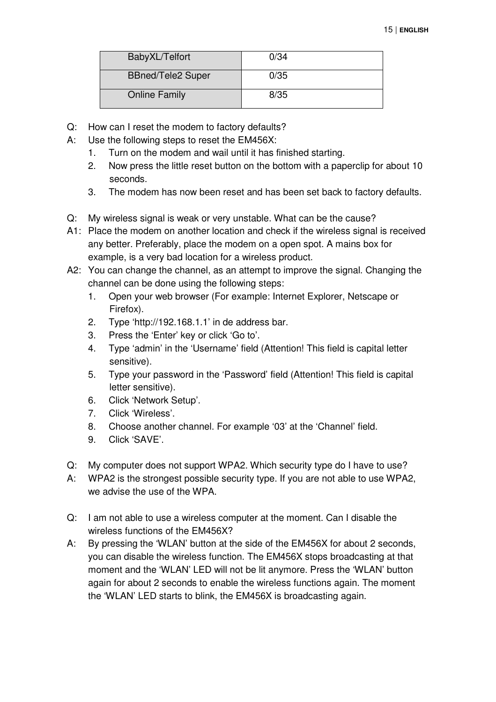| BabyXL/Telfort           | 0/34 |
|--------------------------|------|
| <b>BBned/Tele2 Super</b> | 0/35 |
| Online Family            | 8/35 |

- Q: How can I reset the modem to factory defaults?
- A: Use the following steps to reset the EM456X:
	- 1. Turn on the modem and wail until it has finished starting.
	- 2. Now press the little reset button on the bottom with a paperclip for about 10 seconds.
	- 3. The modem has now been reset and has been set back to factory defaults.
- Q: My wireless signal is weak or very unstable. What can be the cause?
- A1: Place the modem on another location and check if the wireless signal is received any better. Preferably, place the modem on a open spot. A mains box for example, is a very bad location for a wireless product.
- A2: You can change the channel, as an attempt to improve the signal. Changing the channel can be done using the following steps:
	- 1. Open your web browser (For example: Internet Explorer, Netscape or Firefox).
	- 2. Type 'http://192.168.1.1' in de address bar.
	- 3. Press the 'Enter' key or click 'Go to'.
	- 4. Type 'admin' in the 'Username' field (Attention! This field is capital letter sensitive).
	- 5. Type your password in the 'Password' field (Attention! This field is capital letter sensitive).
	- 6. Click 'Network Setup'.
	- 7. Click 'Wireless'.
	- 8. Choose another channel. For example '03' at the 'Channel' field.
	- 9. Click 'SAVE'.
- Q: My computer does not support WPA2. Which security type do I have to use?
- A: WPA2 is the strongest possible security type. If you are not able to use WPA2, we advise the use of the WPA.
- Q: I am not able to use a wireless computer at the moment. Can I disable the wireless functions of the EM456X?
- A: By pressing the 'WLAN' button at the side of the EM456X for about 2 seconds, you can disable the wireless function. The EM456X stops broadcasting at that moment and the 'WLAN' LED will not be lit anymore. Press the 'WLAN' button again for about 2 seconds to enable the wireless functions again. The moment the 'WLAN' LED starts to blink, the EM456X is broadcasting again.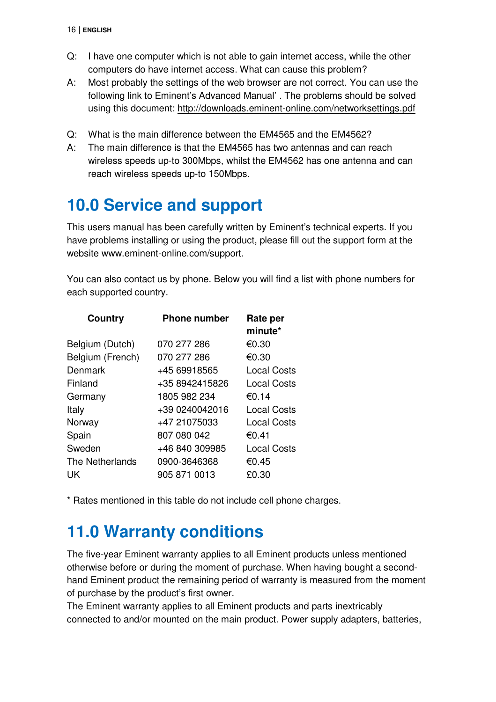- Q: I have one computer which is not able to gain internet access, while the other computers do have internet access. What can cause this problem?
- A: Most probably the settings of the web browser are not correct. You can use the following link to Eminent's Advanced Manual' . The problems should be solved using this document: http://downloads.eminent-online.com/networksettings.pdf
- Q: What is the main difference between the EM4565 and the EM4562?
- A: The main difference is that the EM4565 has two antennas and can reach wireless speeds up-to 300Mbps, whilst the EM4562 has one antenna and can reach wireless speeds up-to 150Mbps.

# **10.0 Service and support**

This users manual has been carefully written by Eminent's technical experts. If you have problems installing or using the product, please fill out the support form at the website www.eminent-online.com/support.

You can also contact us by phone. Below you will find a list with phone numbers for each supported country.

| <b>Phone number</b> | Rate per<br>minute* |
|---------------------|---------------------|
| 070 277 286         | €0.30               |
| 070 277 286         | €0.30               |
| +45 69918565        | Local Costs         |
| +35 8942415826      | Local Costs         |
| 1805 982 234        | €0.14               |
| +39 0240042016      | Local Costs         |
| +47 21075033        | Local Costs         |
| 807 080 042         | €0.41               |
| +46 840 309985      | Local Costs         |
| 0900-3646368        | €0.45               |
| 905 871 0013        | £0.30               |
|                     |                     |

\* Rates mentioned in this table do not include cell phone charges.

## **11.0 Warranty conditions**

The five-year Eminent warranty applies to all Eminent products unless mentioned otherwise before or during the moment of purchase. When having bought a secondhand Eminent product the remaining period of warranty is measured from the moment of purchase by the product's first owner.

The Eminent warranty applies to all Eminent products and parts inextricably connected to and/or mounted on the main product. Power supply adapters, batteries,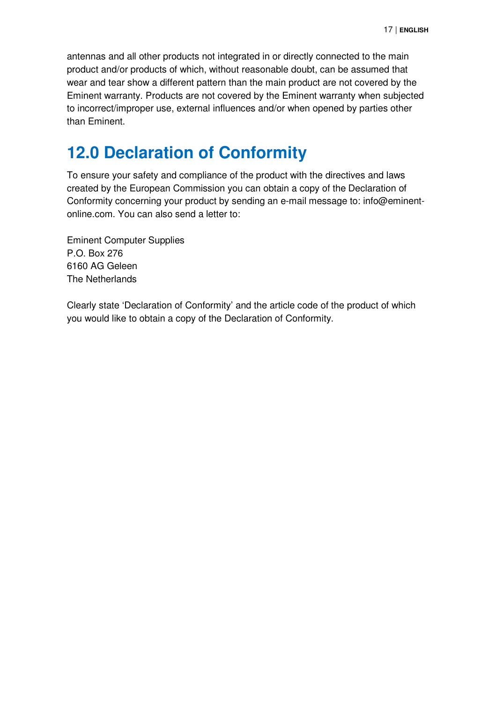antennas and all other products not integrated in or directly connected to the main product and/or products of which, without reasonable doubt, can be assumed that wear and tear show a different pattern than the main product are not covered by the Eminent warranty. Products are not covered by the Eminent warranty when subjected to incorrect/improper use, external influences and/or when opened by parties other than Eminent.

## **12.0 Declaration of Conformity**

To ensure your safety and compliance of the product with the directives and laws created by the European Commission you can obtain a copy of the Declaration of Conformity concerning your product by sending an e-mail message to: info@eminentonline.com. You can also send a letter to:

Eminent Computer Supplies P.O. Box 276 6160 AG Geleen The Netherlands

Clearly state 'Declaration of Conformity' and the article code of the product of which you would like to obtain a copy of the Declaration of Conformity.